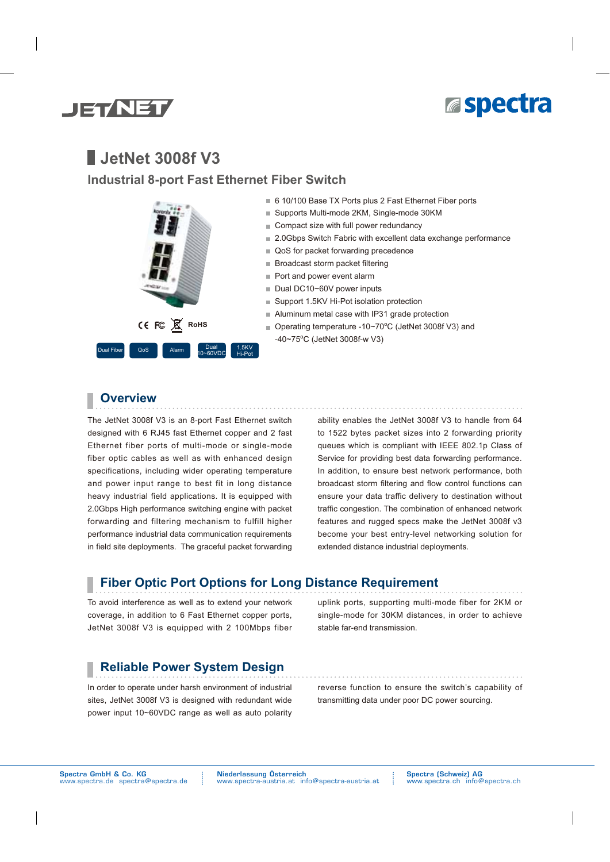



# **JetNet 3008f V3**

### **Industrial 8-port Fast Ethernet Fiber Switch**



- 6 10/100 Base TX Ports plus 2 Fast Ethernet Fiber ports
- Supports Multi-mode 2KM, Single-mode 30KM
- Compact size with full power redundancy
- 2.0Gbps Switch Fabric with excellent data exchange performance
- QoS for packet forwarding precedence
- Broadcast storm packet filtering
- Port and power event alarm
- Dual DC10~60V power inputs
- Support 1.5KV Hi-Pot isolation protection
- Aluminum metal case with IP31 grade protection
- Operating temperature -10~70°C (JetNet 3008f V3) and -40~75°C (JetNet 3008f-w V3)

### **Overview**

The JetNet 3008f V3 is an 8-port Fast Ethernet switch designed with 6 RJ45 fast Ethernet copper and 2 fast Ethernet fiber ports of multi-mode or single-mode fiber optic cables as well as with enhanced design specifications, including wider operating temperature and power input range to best fit in long distance heavy industrial field applications. It is equipped with 2.0Gbps High performance switching engine with packet forwarding and filtering mechanism to fulfill higher performance industrial data communication requirements in field site deployments. The graceful packet forwarding ability enables the JetNet 3008f V3 to handle from 64 to 1522 bytes packet sizes into 2 forwarding priority queues which is compliant with IEEE 802.1p Class of Service for providing best data forwarding performance. In addition, to ensure best network performance, both broadcast storm filtering and flow control functions can ensure your data traffic delivery to destination without traffic congestion. The combination of enhanced network features and rugged specs make the JetNet 3008f v3 become your best entry-level networking solution for extended distance industrial deployments.

### **Fiber Optic Port Options for Long Distance Requirement**

To avoid interference as well as to extend your network coverage, in addition to 6 Fast Ethernet copper ports, JetNet 3008f V3 is equipped with 2 100Mbps fiber uplink ports, supporting multi-mode fiber for 2KM or single-mode for 30KM distances, in order to achieve stable far-end transmission.

### **Reliable Power System Design**

In order to operate under harsh environment of industrial sites, JetNet 3008f V3 is designed with redundant wide power input 10~60VDC range as well as auto polarity

reverse function to ensure the switch's capability of transmitting data under poor DC power sourcing.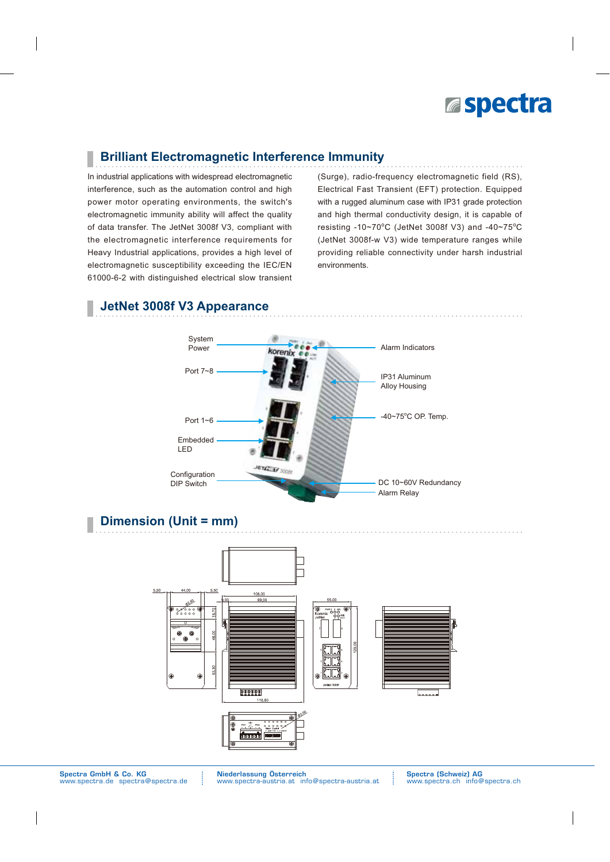

## **Brilliant Electromagnetic Interference Immunity**

In industrial applications with widespread electromagnetic interference, such as the automation control and high power motor operating environments, the switch's electromagnetic immunity ability will affect the quality of data transfer. The JetNet 3008f V3, compliant with the electromagnetic interference requirements for Heavy Industrial applications, provides a high level of electromagnetic susceptibility exceeding the IEC/EN 61000-6-2 with distinguished electrical slow transient (Surge), radio-frequency electromagnetic field (RS), Electrical Fast Transient (EFT) protection. Equipped with a rugged aluminum case with IP31 grade protection and high thermal conductivity design, it is capable of resisting -10~70°C (JetNet 3008f V3) and -40~75°C (JetNet 3008f-w V3) wide temperature ranges while providing reliable connectivity under harsh industrial environments.

### **JetNet 3008f V3 Appearance**



## **Dimension (Unit = mm)**



Niederlassung Österreich www.spectra-austria.at info@spectra-austria.at